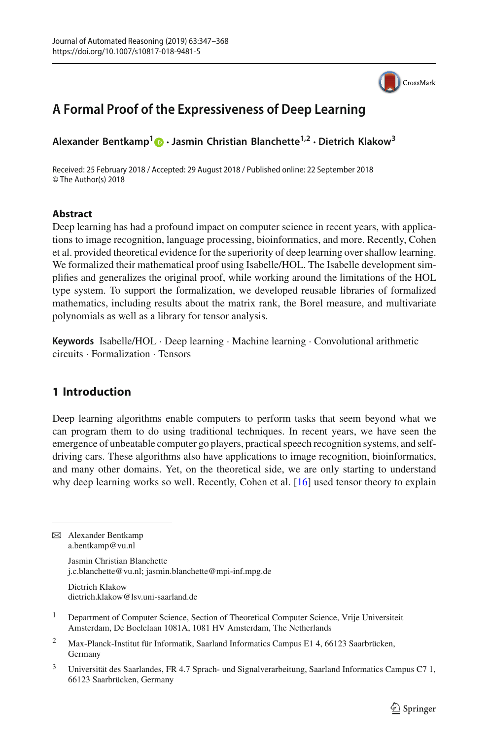

## **A Formal Proof of the Expressiveness of Deep Learning**

**Alexander Bentkamp[1](http://orcid.org/0000-0002-7158-3595) · Jasmin Christian Blanchette1,2 · Dietrich Klakow<sup>3</sup>**

Received: 25 February 2018 / Accepted: 29 August 2018 / Published online: 22 September 2018 © The Author(s) 2018

#### **Abstract**

Deep learning has had a profound impact on computer science in recent years, with applications to image recognition, language processing, bioinformatics, and more. Recently, Cohen et al. provided theoretical evidence for the superiority of deep learning over shallow learning. We formalized their mathematical proof using Isabelle/HOL. The Isabelle development simplifies and generalizes the original proof, while working around the limitations of the HOL type system. To support the formalization, we developed reusable libraries of formalized mathematics, including results about the matrix rank, the Borel measure, and multivariate polynomials as well as a library for tensor analysis.

**Keywords** Isabelle/HOL · Deep learning · Machine learning · Convolutional arithmetic circuits · Formalization · Tensors

## **1 Introduction**

Deep learning algorithms enable computers to perform tasks that seem beyond what we can program them to do using traditional techniques. In recent years, we have seen the emergence of unbeatable computer go players, practical speech recognition systems, and selfdriving cars. These algorithms also have applications to image recognition, bioinformatics, and many other domains. Yet, on the theoretical side, we are only starting to understand why deep learning works so well. Recently, Cohen et al. [\[16](#page-20-0)] used tensor theory to explain

B Alexander Bentkamp a.bentkamp@vu.nl Jasmin Christian Blanchette j.c.blanchette@vu.nl; jasmin.blanchette@mpi-inf.mpg.de Dietrich Klakow dietrich.klakow@lsv.uni-saarland.de

- <sup>1</sup> Department of Computer Science, Section of Theoretical Computer Science, Vrije Universiteit Amsterdam, De Boelelaan 1081A, 1081 HV Amsterdam, The Netherlands
- <sup>2</sup> Max-Planck-Institut für Informatik, Saarland Informatics Campus E1 4, 66123 Saarbrücken, Germany
- <sup>3</sup> Universität des Saarlandes, FR 4.7 Sprach- und Signalverarbeitung, Saarland Informatics Campus C7 1, 66123 Saarbrücken, Germany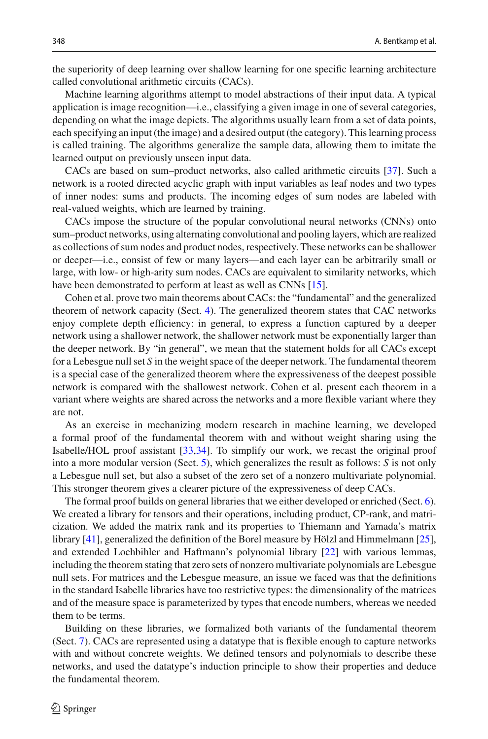the superiority of deep learning over shallow learning for one specific learning architecture called convolutional arithmetic circuits (CACs).

Machine learning algorithms attempt to model abstractions of their input data. A typical application is image recognition—i.e., classifying a given image in one of several categories, depending on what the image depicts. The algorithms usually learn from a set of data points, each specifying an input (the image) and a desired output (the category). This learning process is called training. The algorithms generalize the sample data, allowing them to imitate the learned output on previously unseen input data.

CACs are based on sum–product networks, also called arithmetic circuits [\[37](#page-20-1)]. Such a network is a rooted directed acyclic graph with input variables as leaf nodes and two types of inner nodes: sums and products. The incoming edges of sum nodes are labeled with real-valued weights, which are learned by training.

CACs impose the structure of the popular convolutional neural networks (CNNs) onto sum–product networks, using alternating convolutional and pooling layers, which are realized as collections of sum nodes and product nodes, respectively. These networks can be shallower or deeper—i.e., consist of few or many layers—and each layer can be arbitrarily small or large, with low- or high-arity sum nodes. CACs are equivalent to similarity networks, which have been demonstrated to perform at least as well as CNNs [\[15\]](#page-20-2).

Cohen et al. prove two main theorems about CACs: the "fundamental" and the generalized theorem of network capacity (Sect. [4\)](#page-4-0). The generalized theorem states that CAC networks enjoy complete depth efficiency: in general, to express a function captured by a deeper network using a shallower network, the shallower network must be exponentially larger than the deeper network. By "in general", we mean that the statement holds for all CACs except for a Lebesgue null set *S* in the weight space of the deeper network. The fundamental theorem is a special case of the generalized theorem where the expressiveness of the deepest possible network is compared with the shallowest network. Cohen et al. present each theorem in a variant where weights are shared across the networks and a more flexible variant where they are not.

As an exercise in mechanizing modern research in machine learning, we developed a formal proof of the fundamental theorem with and without weight sharing using the Isabelle/HOL proof assistant [\[33](#page-20-3)[,34](#page-20-4)]. To simplify our work, we recast the original proof into a more modular version (Sect. [5\)](#page-7-0), which generalizes the result as follows: *S* is not only a Lebesgue null set, but also a subset of the zero set of a nonzero multivariate polynomial. This stronger theorem gives a clearer picture of the expressiveness of deep CACs.

The formal proof builds on general libraries that we either developed or enriched (Sect. [6\)](#page-8-0). We created a library for tensors and their operations, including product, CP-rank, and matricization. We added the matrix rank and its properties to Thiemann and Yamada's matrix library [\[41\]](#page-21-0), generalized the definition of the Borel measure by Hölzl and Himmelmann [\[25\]](#page-20-5), and extended Lochbihler and Haftmann's polynomial library [\[22](#page-20-6)] with various lemmas, including the theorem stating that zero sets of nonzero multivariate polynomials are Lebesgue null sets. For matrices and the Lebesgue measure, an issue we faced was that the definitions in the standard Isabelle libraries have too restrictive types: the dimensionality of the matrices and of the measure space is parameterized by types that encode numbers, whereas we needed them to be terms.

Building on these libraries, we formalized both variants of the fundamental theorem (Sect. [7\)](#page-12-0). CACs are represented using a datatype that is flexible enough to capture networks with and without concrete weights. We defined tensors and polynomials to describe these networks, and used the datatype's induction principle to show their properties and deduce the fundamental theorem.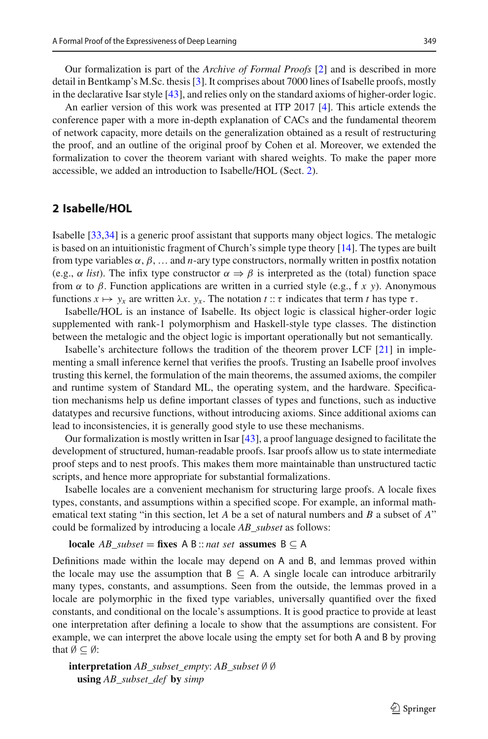Our formalization is part of the *Archive of Formal Proofs* [\[2\]](#page-19-0) and is described in more detail in Bentkamp's M.Sc. thesis [\[3](#page-19-1)]. It comprises about 7000 lines of Isabelle proofs, mostly in the declarative Isar style [\[43](#page-21-1)], and relies only on the standard axioms of higher-order logic.

An earlier version of this work was presented at ITP 2017 [\[4\]](#page-19-2). This article extends the conference paper with a more in-depth explanation of CACs and the fundamental theorem of network capacity, more details on the generalization obtained as a result of restructuring the proof, and an outline of the original proof by Cohen et al. Moreover, we extended the formalization to cover the theorem variant with shared weights. To make the paper more accessible, we added an introduction to Isabelle/HOL (Sect. [2\)](#page-2-0).

## <span id="page-2-0"></span>**2 Isabelle/HOL**

Isabelle [\[33](#page-20-3)[,34](#page-20-4)] is a generic proof assistant that supports many object logics. The metalogic is based on an intuitionistic fragment of Church's simple type theory [\[14\]](#page-20-7). The types are built from type variables  $\alpha$ ,  $\beta$ , ... and *n*-ary type constructors, normally written in postfix notation (e.g.,  $\alpha$  *list*). The infix type constructor  $\alpha \Rightarrow \beta$  is interpreted as the (total) function space from  $\alpha$  to  $\beta$ . Function applications are written in a curried style (e.g., f x y). Anonymous functions  $x \mapsto y_x$  are written  $\lambda x$ .  $y_x$ . The notation  $t :: \tau$  indicates that term t has type  $\tau$ .

Isabelle/HOL is an instance of Isabelle. Its object logic is classical higher-order logic supplemented with rank-1 polymorphism and Haskell-style type classes. The distinction between the metalogic and the object logic is important operationally but not semantically.

Isabelle's architecture follows the tradition of the theorem prover LCF [\[21\]](#page-20-8) in implementing a small inference kernel that verifies the proofs. Trusting an Isabelle proof involves trusting this kernel, the formulation of the main theorems, the assumed axioms, the compiler and runtime system of Standard ML, the operating system, and the hardware. Specification mechanisms help us define important classes of types and functions, such as inductive datatypes and recursive functions, without introducing axioms. Since additional axioms can lead to inconsistencies, it is generally good style to use these mechanisms.

Our formalization is mostly written in Isar [\[43](#page-21-1)], a proof language designed to facilitate the development of structured, human-readable proofs. Isar proofs allow us to state intermediate proof steps and to nest proofs. This makes them more maintainable than unstructured tactic scripts, and hence more appropriate for substantial formalizations.

Isabelle locales are a convenient mechanism for structuring large proofs. A locale fixes types, constants, and assumptions within a specified scope. For example, an informal mathematical text stating "in this section, let *A* be a set of natural numbers and *B* a subset of *A*" could be formalized by introducing a locale *AB*\_*subset* as follows:

**locale** *AB*\_*subset* = **fixes** A B :: *nat set* **assumes** B ⊆ A

Definitions made within the locale may depend on A and B, and lemmas proved within the locale may use the assumption that  $B \subseteq A$ . A single locale can introduce arbitrarily many types, constants, and assumptions. Seen from the outside, the lemmas proved in a locale are polymorphic in the fixed type variables, universally quantified over the fixed constants, and conditional on the locale's assumptions. It is good practice to provide at least one interpretation after defining a locale to show that the assumptions are consistent. For example, we can interpret the above locale using the empty set for both A and B by proving that  $\emptyset \subset \emptyset$ :

**interpretation** *AB\_subset\_empty*: *AB\_subset* ∅ ∅ **using** *AB\_subset\_def* **by** *simp*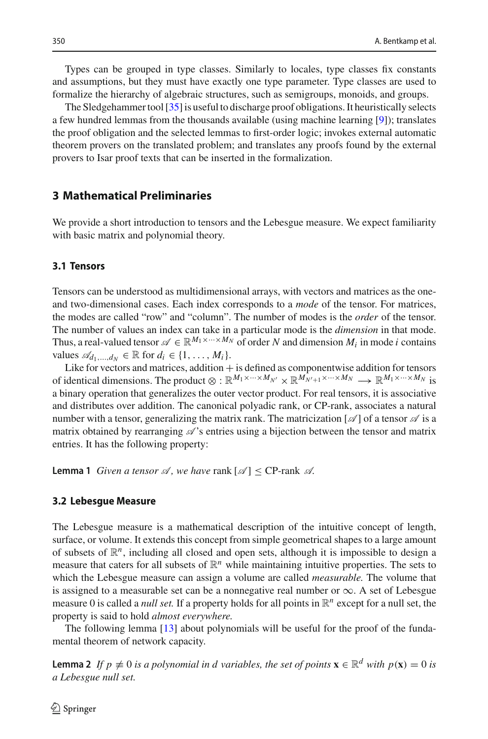Types can be grouped in type classes. Similarly to locales, type classes fix constants and assumptions, but they must have exactly one type parameter. Type classes are used to formalize the hierarchy of algebraic structures, such as semigroups, monoids, and groups.

The Sledgehammer tool [\[35\]](#page-20-9) is useful to discharge proof obligations. It heuristically selects a few hundred lemmas from the thousands available (using machine learning [\[9](#page-19-3)]); translates the proof obligation and the selected lemmas to first-order logic; invokes external automatic theorem provers on the translated problem; and translates any proofs found by the external provers to Isar proof texts that can be inserted in the formalization.

#### **3 Mathematical Preliminaries**

We provide a short introduction to tensors and the Lebesgue measure. We expect familiarity with basic matrix and polynomial theory.

#### 3.1 Tensors

Tensors can be understood as multidimensional arrays, with vectors and matrices as the oneand two-dimensional cases. Each index corresponds to a *mode* of the tensor. For matrices, the modes are called "row" and "column". The number of modes is the *order* of the tensor. The number of values an index can take in a particular mode is the *dimension* in that mode. Thus, a real-valued tensor  $\mathscr{A} \in \mathbb{R}^{M_1 \times \cdots \times M_N}$  of order *N* and dimension  $M_i$  in mode *i* contains values  $\mathscr{A}_{d_1,\dots,d_N} \in \mathbb{R}$  for  $d_i \in \{1,\dots,M_i\}.$ 

Like for vectors and matrices, addition  $+$  is defined as componentwise addition for tensors of identical dimensions. The product  $\otimes : \mathbb{R}^{M_1 \times \cdots \times M_{N'}} \times \mathbb{R}^{M_{N'+1} \times \cdots \times M_N} \longrightarrow \mathbb{R}^{M_1 \times \cdots \times M_N}$  is a binary operation that generalizes the outer vector product. For real tensors, it is associative and distributes over addition. The canonical polyadic rank, or CP-rank, associates a natural number with a tensor, generalizing the matrix rank. The matricization  $[\mathscr{A}]$  of a tensor  $\mathscr{A}$  is a matrix obtained by rearranging  $\mathscr{A}$ 's entries using a bijection between the tensor and matrix entries. It has the following property:

<span id="page-3-1"></span>**Lemma 1** *Given a tensor*  $\mathcal{A}$ *, we have* rank  $[\mathcal{A}] \leq$  CP-rank  $\mathcal{A}$ *.* 

# **3.2 Lebesgue Measure**

The Lebesgue measure is a mathematical description of the intuitive concept of length, surface, or volume. It extends this concept from simple geometrical shapes to a large amount of subsets of  $\mathbb{R}^n$ , including all closed and open sets, although it is impossible to design a measure that caters for all subsets of  $\mathbb{R}^n$  while maintaining intuitive properties. The sets to which the Lebesgue measure can assign a volume are called *measurable.* The volume that is assigned to a measurable set can be a nonnegative real number or  $\infty$ . A set of Lebesgue measure 0 is called a *null set*. If a property holds for all points in  $\mathbb{R}^n$  except for a null set, the property is said to hold *almost everywhere.*

<span id="page-3-0"></span>The following lemma [\[13\]](#page-20-10) about polynomials will be useful for the proof of the fundamental theorem of network capacity.

**Lemma 2** *If*  $p \neq 0$  *is a polynomial in d variables, the set of points*  $\mathbf{x} \in \mathbb{R}^d$  *with*  $p(\mathbf{x}) = 0$  *is a Lebesgue null set.*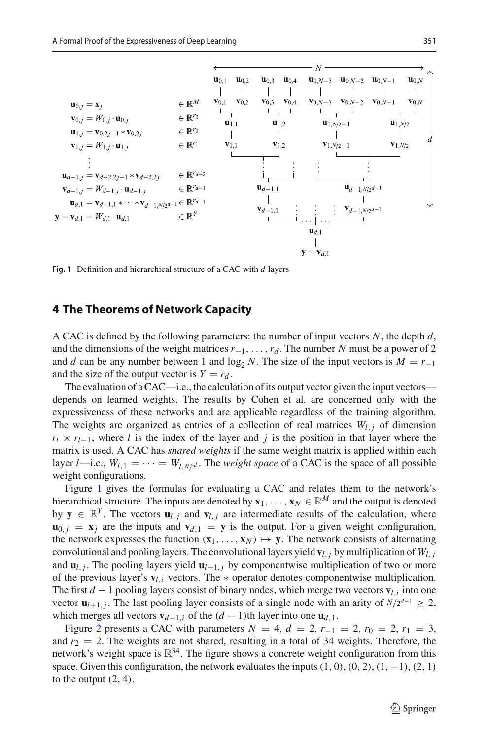

<span id="page-4-1"></span>**Fig. 1** Definition and hierarchical structure of a CAC with *d* layers

#### <span id="page-4-0"></span>**4 The Theorems of Network Capacity**

A CAC is defined by the following parameters: the number of input vectors *N*, the depth *d*, and the dimensions of the weight matrices  $r_{-1}, \ldots, r_d$ . The number *N* must be a power of 2 and *d* can be any number between 1 and  $\log_2 N$ . The size of the input vectors is  $M = r_{-1}$ and the size of the output vector is  $Y = r_d$ .

The evaluation of a CAC—i.e., the calculation of its output vector given the input vectors depends on learned weights. The results by Cohen et al. are concerned only with the expressiveness of these networks and are applicable regardless of the training algorithm. The weights are organized as entries of a collection of real matrices  $W_{l,i}$  of dimension  $r_l \times r_{l-1}$ , where *l* is the index of the layer and *j* is the position in that layer where the matrix is used. A CAC has *shared weights* if the same weight matrix is applied within each layer *l*—i.e.,  $W_{l,1} = \cdots = W_{l,N_l}$ . The *weight space* of a CAC is the space of all possible weight configurations.

Figure [1](#page-4-1) gives the formulas for evaluating a CAC and relates them to the network's hierarchical structure. The inputs are denoted by  $\mathbf{x}_1, \ldots, \mathbf{x}_N \in \mathbb{R}^M$  and the output is denoted by **y**  $\in \mathbb{R}^Y$ . The vectors  $\mathbf{u}_{l,j}$  and  $\mathbf{v}_{l,j}$  are intermediate results of the calculation, where  $\mathbf{u}_{0,i} = \mathbf{x}_i$  are the inputs and  $\mathbf{v}_{d,1} = \mathbf{y}$  is the output. For a given weight configuration, the network expresses the function  $(\mathbf{x}_1, \ldots, \mathbf{x}_N) \mapsto \mathbf{y}$ . The network consists of alternating convolutional and pooling layers. The convolutional layers yield  $\mathbf{v}_{l,j}$  by multiplication of  $W_{l,j}$ and  $\mathbf{u}_{l,j}$ . The pooling layers yield  $\mathbf{u}_{l+1,j}$  by componentwise multiplication of two or more of the previous layer's  $\mathbf{v}_i$ , vectors. The  $*$  operator denotes componentwise multiplication. The first  $d - 1$  pooling layers consist of binary nodes, which merge two vectors  $\mathbf{v}_{l,i}$  into one vector  $\mathbf{u}_{l+1,i}$ . The last pooling layer consists of a single node with an arity of  $N/2^{d-1} \geq 2$ , which merges all vectors  $\mathbf{v}_{d-1,i}$  of the  $(d-1)$ th layer into one  $\mathbf{u}_{d,1}$ .

Figure [2](#page-5-0) presents a CAC with parameters  $N = 4$ ,  $d = 2$ ,  $r_{-1} = 2$ ,  $r_0 = 2$ ,  $r_1 = 3$ , and  $r_2 = 2$ . The weights are not shared, resulting in a total of 34 weights. Therefore, the network's weight space is  $\mathbb{R}^{34}$ . The figure shows a concrete weight configuration from this space. Given this configuration, the network evaluates the inputs  $(1, 0), (0, 2), (1, -1), (2, 1)$ to the output  $(2, 4)$ .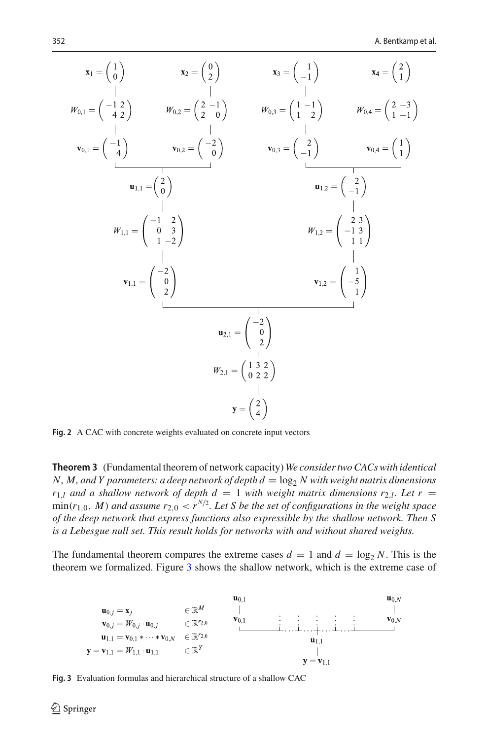$$
\mathbf{x}_{1} = \begin{pmatrix} 1 \\ 0 \end{pmatrix} \qquad \mathbf{x}_{2} = \begin{pmatrix} 0 \\ 2 \end{pmatrix} \qquad \mathbf{x}_{3} = \begin{pmatrix} 1 \\ -1 \end{pmatrix} \qquad \mathbf{x}_{4} = \begin{pmatrix} 2 \\ 1 \end{pmatrix}
$$
  
\n
$$
W_{0,1} = \begin{pmatrix} -1 & 2 \\ 4 & 2 \end{pmatrix} \qquad W_{0,2} = \begin{pmatrix} 2 & -1 \\ 2 & 0 \end{pmatrix} \qquad W_{0,3} = \begin{pmatrix} 1 & -1 \\ 1 & 2 \end{pmatrix} \qquad W_{0,4} = \begin{pmatrix} 2 & -3 \\ 1 & -1 \end{pmatrix}
$$
  
\n
$$
\mathbf{v}_{0,1} = \begin{pmatrix} -1 & 2 \\ 0 & 2 \end{pmatrix} \qquad \mathbf{v}_{0,2} = \begin{pmatrix} -2 \\ 0 \\ 0 \end{pmatrix} \qquad \mathbf{v}_{0,3} = \begin{pmatrix} 2 \\ -1 \\ -1 \end{pmatrix} \qquad \mathbf{v}_{0,4} = \begin{pmatrix} 1 \\ 1 \\ 1 \end{pmatrix}
$$
  
\n
$$
W_{1,1} = \begin{pmatrix} -2 \\ 0 \\ 1 \end{pmatrix} \qquad \mathbf{w}_{1,2} = \begin{pmatrix} 2 & 3 \\ -1 & 3 \\ 1 & 1 \end{pmatrix}
$$
  
\n
$$
\mathbf{v}_{1,1} = \begin{pmatrix} -2 \\ 0 \\ 2 \end{pmatrix} \qquad \mathbf{v}_{1,2} = \begin{pmatrix} 1 \\ -5 \\ 0 \\ 1 \end{pmatrix}
$$
  
\n
$$
\mathbf{w}_{2,1} = \begin{pmatrix} -2 \\ 0 \\ 2 \end{pmatrix} \qquad \mathbf{v}_{3,2} = \begin{pmatrix} 1 \\ 2 \\ 1 \end{pmatrix}
$$
  
\n
$$
\mathbf{v}_{4,3} = \begin{pmatrix} 2 \\ 0 \\ 1 \end{pmatrix} \qquad \mathbf{v}_{5,4} = \begin{pmatrix} 2 \\ 0 \\ 1 \end{pmatrix}
$$
  
\n
$$
\mathbf{v}_{6,5} = \begin{pmatrix} 2 \\ -1 \\ 1 \end{pmatrix} \qquad \mathbf{w}_{7,6} = \
$$

<span id="page-5-0"></span>**Fig. 2** A CAC with concrete weights evaluated on concrete input vectors

**Theorem 3** (Fundamental theorem of network capacity) *We consider two CACs with identical*  $N$ ,  $M$ , and  $Y$  parameters: a deep network of depth  $d = \log_2 N$  with weight matrix dimensions  $r_{1,l}$  *and a shallow network of depth d* = 1 *with weight matrix dimensions r<sub>2,l</sub>. Let r* =  $min(r_{1,0}, M)$  *and assume*  $r_{2,0} < r^{N/2}$ . Let S be the set of configurations in the weight space *of the deep network that express functions also expressible by the shallow network. Then S is a Lebesgue null set. This result holds for networks with and without shared weights.*

The fundamental theorem compares the extreme cases  $d = 1$  and  $d = \log_2 N$ . This is the theorem we formalized. Figure [3](#page-5-1) shows the shallow network, which is the extreme case of



<span id="page-5-1"></span>**Fig. 3** Evaluation formulas and hierarchical structure of a shallow CAC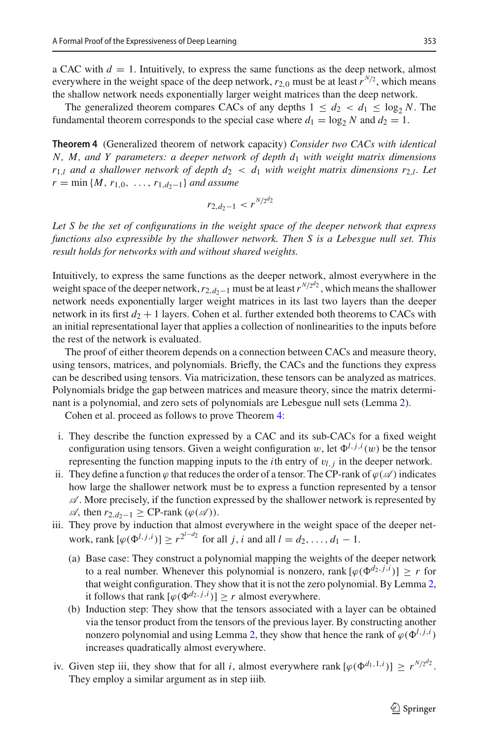a CAC with  $d = 1$ . Intuitively, to express the same functions as the deep network, almost everywhere in the weight space of the deep network,  $r_{2,0}$  must be at least  $r^{N/2}$ , which means the shallow network needs exponentially larger weight matrices than the deep network.

<span id="page-6-0"></span>The generalized theorem compares CACs of any depths  $1 \le d_2 < d_1 \le \log_2 N$ . The fundamental theorem corresponds to the special case where  $d_1 = \log_2 N$  and  $d_2 = 1$ .

**Theorem 4** (Generalized theorem of network capacity) *Consider two CACs with identical N, M, and Y parameters: a deeper network of depth d*<sup>1</sup> *with weight matrix dimensions*  $r_{1,l}$  *and a shallower network of depth*  $d_2 < d_1$  *with weight matrix dimensions*  $r_{2,l}$ *. Let*  $r = \min \{M, r_{1,0}, \ldots, r_{1,d_2-1}\}$  *and assume* 

$$
r_{2,d_2-1} < r^{N/2^{d_2}}
$$

*Let S be the set of configurations in the weight space of the deeper network that express functions also expressible by the shallower network. Then S is a Lebesgue null set. This result holds for networks with and without shared weights.*

Intuitively, to express the same functions as the deeper network, almost everywhere in the weight space of the deeper network,  $r_{2,d_2-1}$  must be at least  $r^{N/2^{d_2}}$ , which means the shallower network needs exponentially larger weight matrices in its last two layers than the deeper network in its first  $d_2 + 1$  layers. Cohen et al. further extended both theorems to CACs with an initial representational layer that applies a collection of nonlinearities to the inputs before the rest of the network is evaluated.

The proof of either theorem depends on a connection between CACs and measure theory, using tensors, matrices, and polynomials. Briefly, the CACs and the functions they express can be described using tensors. Via matricization, these tensors can be analyzed as matrices. Polynomials bridge the gap between matrices and measure theory, since the matrix determinant is a polynomial, and zero sets of polynomials are Lebesgue null sets (Lemma [2\)](#page-3-0).

Cohen et al. proceed as follows to prove Theorem [4:](#page-6-0)

- i. They describe the function expressed by a CAC and its sub-CACs for a fixed weight configuration using tensors. Given a weight configuration w, let  $\Phi^{l,j,i}(w)$  be the tensor representing the function mapping inputs to the *i*th entry of v*l*,*<sup>j</sup>* in the deeper network.
- ii. They define a function  $\varphi$  that reduces the order of a tensor. The CP-rank of  $\varphi(\mathscr{A})$  indicates how large the shallower network must be to express a function represented by a tensor *A* . More precisely, if the function expressed by the shallower network is represented by  $\mathcal{A}$ , then *r*<sub>2,*d*2−1</sub> ≥ CP-rank ( $\varphi$ ( $\varphi$ )).
- iii. They prove by induction that almost everywhere in the weight space of the deeper network, rank  $[\varphi(\Phi^{l,j,i})] \ge r^{2^{l-d_2}}$  for all *j*, *i* and all  $l = d_2, \ldots, d_1 - 1$ .
	- (a) Base case: They construct a polynomial mapping the weights of the deeper network to a real number. Whenever this polynomial is nonzero, rank  $[\varphi(\Phi^{d_2,j,i})] \geq r$  for that weight configuration. They show that it is not the zero polynomial. By Lemma [2,](#page-3-0) it follows that rank  $[\varphi(\Phi^{d_2,j,i})] \geq r$  almost everywhere.
	- (b) Induction step: They show that the tensors associated with a layer can be obtained via the tensor product from the tensors of the previous layer. By constructing another nonzero polynomial and using Lemma [2,](#page-3-0) they show that hence the rank of  $\varphi(\Phi^{l,j,i})$ increases quadratically almost everywhere.
- iv. Given step iii, they show that for all *i*, almost everywhere rank  $[\varphi(\Phi^{d_1,1,i})] \ge r^{N/2^d}$ . They employ a similar argument as in step iiib.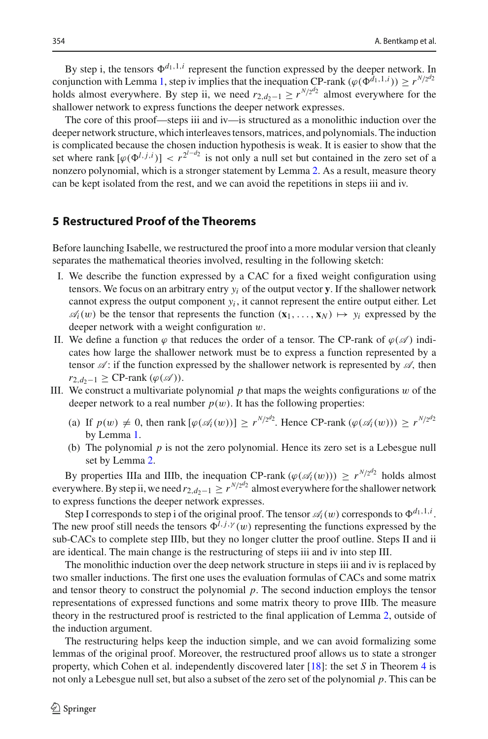By step i, the tensors  $\Phi^{d_1,1,i}$  represent the function expressed by the deeper network. In conjunction with Lemma [1,](#page-3-1) step iv implies that the inequation CP-rank  $(\varphi(\Phi^{\bar{d}_1,1,i})) \ge r^{N/2^{d_2}}$ holds almost everywhere. By step ii, we need  $r_{2,d_2-1} \ge r^{N/2^{d_2}}$  almost everywhere for the shallower network to express functions the deeper network expresses.

The core of this proof—steps iii and iv—is structured as a monolithic induction over the deeper network structure, which interleaves tensors, matrices, and polynomials. The induction is complicated because the chosen induction hypothesis is weak. It is easier to show that the set where rank  $[\varphi(\Phi^{l,j,i})] < r^{2^{l-d_2}}$  is not only a null set but contained in the zero set of a nonzero polynomial, which is a stronger statement by Lemma [2.](#page-3-0) As a result, measure theory can be kept isolated from the rest, and we can avoid the repetitions in steps iii and iv.

## <span id="page-7-0"></span>**5 Restructured Proof of the Theorems**

Before launching Isabelle, we restructured the proof into a more modular version that cleanly separates the mathematical theories involved, resulting in the following sketch:

- I. We describe the function expressed by a CAC for a fixed weight configuration using tensors. We focus on an arbitrary entry *yi* of the output vector **y**. If the shallower network cannot express the output component  $y_i$ , it cannot represent the entire output either. Let  $\mathscr{A}_i(w)$  be the tensor that represents the function  $(\mathbf{x}_1, \ldots, \mathbf{x}_N) \mapsto y_i$  expressed by the deeper network with a weight configuration  $w$ .
- II. We define a function  $\varphi$  that reduces the order of a tensor. The CP-rank of  $\varphi(\mathscr{A})$  indicates how large the shallower network must be to express a function represented by a tensor  $\mathscr{A}$ : if the function expressed by the shallower network is represented by  $\mathscr{A}$ , then *r*<sub>2,*d*2−1</sub> ≥ **CP**-rank ( $\varphi$ ( $\varnothing$ )).
- III. We construct a multivariate polynomial  $p$  that maps the weights configurations  $w$  of the deeper network to a real number  $p(w)$ . It has the following properties:
	- (a) If  $p(w) \neq 0$ , then rank  $[\varphi(\mathcal{A}_i(w))] \geq r^{N/2^{d_2}}$ . Hence CP-rank  $(\varphi(\mathcal{A}_i(w))) \geq r^{N/2^{d_2}}$ by Lemma [1.](#page-3-1)
	- (b) The polynomial  $p$  is not the zero polynomial. Hence its zero set is a Lebesgue null set by Lemma [2.](#page-3-0)

By properties IIIa and IIIb, the inequation CP-rank  $(\varphi(\mathcal{A}_i(w))) \ge r^{N/2^{d_2}}$  holds almost everywhere. By step ii, we need  $r_{2,d_2-1} \geq r^{N/2^{d_2}}$  almost everywhere for the shallower network to express functions the deeper network expresses.

Step I corresponds to step i of the original proof. The tensor  $\mathcal{A}_i(w)$  corresponds to  $\Phi^{d_1,1,i}$ . The new proof still needs the tensors  $\Phi^{l,j,\gamma}(w)$  representing the functions expressed by the sub-CACs to complete step IIIb, but they no longer clutter the proof outline. Steps II and ii are identical. The main change is the restructuring of steps iii and iv into step III.

The monolithic induction over the deep network structure in steps iii and iv is replaced by two smaller inductions. The first one uses the evaluation formulas of CACs and some matrix and tensor theory to construct the polynomial *p*. The second induction employs the tensor representations of expressed functions and some matrix theory to prove IIIb. The measure theory in the restructured proof is restricted to the final application of Lemma [2,](#page-3-0) outside of the induction argument.

The restructuring helps keep the induction simple, and we can avoid formalizing some lemmas of the original proof. Moreover, the restructured proof allows us to state a stronger property, which Cohen et al. independently discovered later [\[18](#page-20-11)]: the set *S* in Theorem [4](#page-6-0) is not only a Lebesgue null set, but also a subset of the zero set of the polynomial *p*. This can be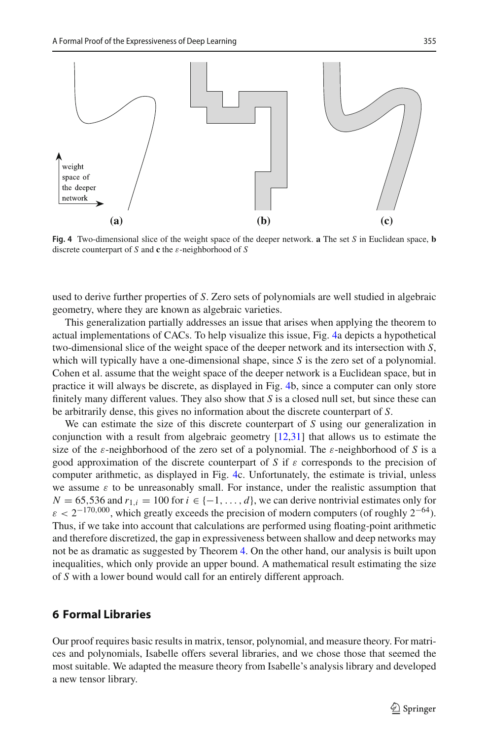

<span id="page-8-1"></span>**Fig. 4** Two-dimensional slice of the weight space of the deeper network. **a** The set *S* in Euclidean space, **b** discrete counterpart of *S* and **c** the ε-neighborhood of *S*

used to derive further properties of *S*. Zero sets of polynomials are well studied in algebraic geometry, where they are known as algebraic varieties.

This generalization partially addresses an issue that arises when applying the theorem to actual implementations of CACs. To help visualize this issue, Fig. [4a](#page-8-1) depicts a hypothetical two-dimensional slice of the weight space of the deeper network and its intersection with *S*, which will typically have a one-dimensional shape, since *S* is the zero set of a polynomial. Cohen et al. assume that the weight space of the deeper network is a Euclidean space, but in practice it will always be discrete, as displayed in Fig. [4b](#page-8-1), since a computer can only store finitely many different values. They also show that *S* is a closed null set, but since these can be arbitrarily dense, this gives no information about the discrete counterpart of *S*.

We can estimate the size of this discrete counterpart of *S* using our generalization in conjunction with a result from algebraic geometry [\[12](#page-19-4)[,31\]](#page-20-12) that allows us to estimate the size of the  $\varepsilon$ -neighborhood of the zero set of a polynomial. The  $\varepsilon$ -neighborhood of *S* is a good approximation of the discrete counterpart of *S* if  $\varepsilon$  corresponds to the precision of computer arithmetic, as displayed in Fig. [4c](#page-8-1). Unfortunately, the estimate is trivial, unless we assume  $\varepsilon$  to be unreasonably small. For instance, under the realistic assumption that  $N = 65,536$  and  $r_{1,i} = 100$  for  $i \in \{-1,\ldots,d\}$ , we can derive nontrivial estimates only for  $\varepsilon$  < 2<sup>-170,000</sup>, which greatly exceeds the precision of modern computers (of roughly 2<sup>-64</sup>). Thus, if we take into account that calculations are performed using floating-point arithmetic and therefore discretized, the gap in expressiveness between shallow and deep networks may not be as dramatic as suggested by Theorem [4.](#page-6-0) On the other hand, our analysis is built upon inequalities, which only provide an upper bound. A mathematical result estimating the size of *S* with a lower bound would call for an entirely different approach.

### <span id="page-8-0"></span>**6 Formal Libraries**

Our proof requires basic results in matrix, tensor, polynomial, and measure theory. For matrices and polynomials, Isabelle offers several libraries, and we chose those that seemed the most suitable. We adapted the measure theory from Isabelle's analysis library and developed a new tensor library.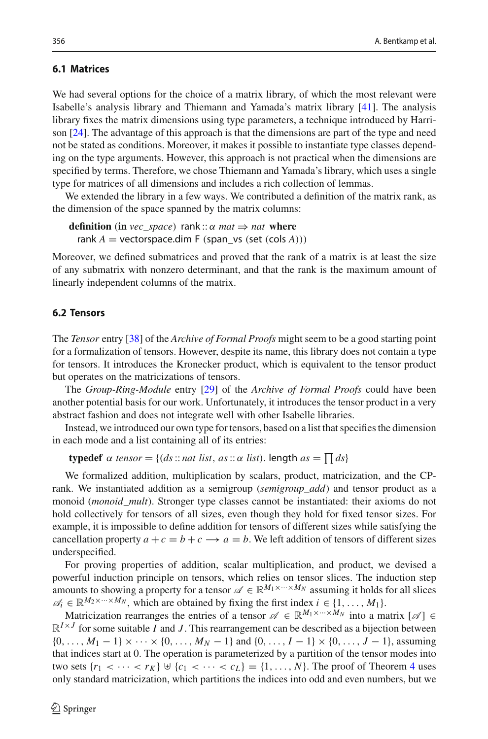#### **6.1 Matrices**

We had several options for the choice of a matrix library, of which the most relevant were Isabelle's analysis library and Thiemann and Yamada's matrix library [\[41](#page-21-0)]. The analysis library fixes the matrix dimensions using type parameters, a technique introduced by Harrison [\[24](#page-20-13)]. The advantage of this approach is that the dimensions are part of the type and need not be stated as conditions. Moreover, it makes it possible to instantiate type classes depending on the type arguments. However, this approach is not practical when the dimensions are specified by terms. Therefore, we chose Thiemann and Yamada's library, which uses a single type for matrices of all dimensions and includes a rich collection of lemmas.

We extended the library in a few ways. We contributed a definition of the matrix rank, as the dimension of the space spanned by the matrix columns:

```
definition (in vec\_space) rank :: \alpha mat \Rightarrow nat where
  rank A = vectorspace.dim F (span_vs (set (cols A)))
```
Moreover, we defined submatrices and proved that the rank of a matrix is at least the size of any submatrix with nonzero determinant, and that the rank is the maximum amount of linearly independent columns of the matrix.

#### 6.2 Tensors

The *Tensor* entry [\[38\]](#page-20-14) of the *Archive of Formal Proofs* might seem to be a good starting point for a formalization of tensors. However, despite its name, this library does not contain a type for tensors. It introduces the Kronecker product, which is equivalent to the tensor product but operates on the matricizations of tensors.

The *Group-Ring-Module* entry [\[29](#page-20-15)] of the *Archive of Formal Proofs* could have been another potential basis for our work. Unfortunately, it introduces the tensor product in a very abstract fashion and does not integrate well with other Isabelle libraries.

Instead, we introduced our own type for tensors, based on a list that specifies the dimension in each mode and a list containing all of its entries:

*typedef*  $\alpha$  *tensor* = { $(ds :: nat list, as :: \alpha list)$ . length  $as = \prod ds$ }

We formalized addition, multiplication by scalars, product, matricization, and the CPrank. We instantiated addition as a semigroup (*semigroup*\_*add*) and tensor product as a monoid (*monoid*\_*mult*). Stronger type classes cannot be instantiated: their axioms do not hold collectively for tensors of all sizes, even though they hold for fixed tensor sizes. For example, it is impossible to define addition for tensors of different sizes while satisfying the cancellation property  $a + c = b + c \rightarrow a = b$ . We left addition of tensors of different sizes underspecified.

For proving properties of addition, scalar multiplication, and product, we devised a powerful induction principle on tensors, which relies on tensor slices. The induction step amounts to showing a property for a tensor  $\mathscr{A} \in \mathbb{R}^{M_1 \times \cdots \times M_N}$  assuming it holds for all slices  $\mathscr{A}_i \in \mathbb{R}^{M_2 \times \cdots \times M_N}$ , which are obtained by fixing the first index  $i \in \{1, \ldots, M_1\}$ .

Matricization rearranges the entries of a tensor  $\mathscr{A} \in \mathbb{R}^{M_1 \times \cdots \times M_N}$  into a matrix  $[\mathscr{A}] \in$  $\mathbb{R}^{I \times J}$  for some suitable *I* and *J*. This rearrangement can be described as a bijection between  $\{0, \ldots, M_1 - 1\} \times \cdots \times \{0, \ldots, M_N - 1\}$  and  $\{0, \ldots, I - 1\} \times \{0, \ldots, J - 1\}$ , assuming that indices start at 0. The operation is parameterized by a partition of the tensor modes into two sets  $\{r_1 < \cdots < r_K\}$   $\uplus$   $\{c_1 < \cdots < c_L\} = \{1, \ldots, N\}$ . The proof of Theorem [4](#page-6-0) uses only standard matricization, which partitions the indices into odd and even numbers, but we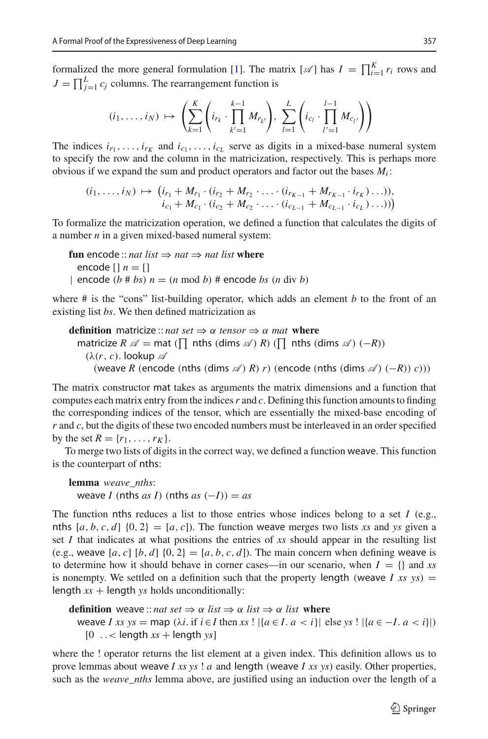formalized the more general formulation [\[1\]](#page-19-5). The matrix  $[\mathcal{A}]$  has  $I = \prod_{i=1}^{K} r_i$  rows and  $J = \prod_{j=1}^{L} c_j$  columns. The rearrangement function is

$$
(i_1, ..., i_N) \mapsto \left( \sum_{k=1}^K \left( i_{r_k} \cdot \prod_{k'=1}^{k-1} M_{r_{k'}} \right), \ \sum_{l=1}^L \left( i_{c_l} \cdot \prod_{l'=1}^{l-1} M_{c_{l'}} \right) \right)
$$

The indices  $i_{r_1}, \ldots, i_{r_K}$  and  $i_{c_1}, \ldots, i_{c_L}$  serve as digits in a mixed-base numeral system to specify the row and the column in the matricization, respectively. This is perhaps more obvious if we expand the sum and product operators and factor out the bases  $M_i$ :

$$
(i_1, \ldots, i_N) \mapsto (i_{r_1} + M_{r_1} \cdot (i_{r_2} + M_{r_2} \cdot \ldots \cdot (i_{r_{K-1}} + M_{r_{K-1}} \cdot i_{r_K}) \ldots)),
$$
  
\n
$$
i_{c_1} + M_{c_1} \cdot (i_{c_2} + M_{c_2} \cdot \ldots \cdot (i_{c_{L-1}} + M_{c_{L-1}} \cdot i_{c_L}) \ldots)))
$$

To formalize the matricization operation, we defined a function that calculates the digits of a number *n* in a given mixed-based numeral system:

**fun** encode :: *nat list*  $\Rightarrow$  *nat*  $\Rightarrow$  *nat list* where encode  $[1 n = 1]$ | encode  $(b \# bs)$   $n = (n \mod b) \#$  encode *bs*  $(n \text{ div } b)$ 

where # is the "cons" list-building operator, which adds an element *b* to the front of an existing list *bs*. We then defined matricization as

```
definition matricize :: nat set \Rightarrow \alpha tensor \Rightarrow \alpha mat where
   \mathsf{matricize}\ R \ \mathscr{A} = \mathsf{mat}\ (\prod \mathsf{nths}\ (\mathsf{dims}\ \mathscr{A})\ R) \ (\prod \mathsf{nths}\ (\mathsf{dims}\ \mathscr{A})\ (-R))(λ(r, c). lookup A
         (weave R (encode (nths (dims \mathscr{A}) R) r) (encode (nths (dims \mathscr{A}) (-R)) c)))
```
The matrix constructor mat takes as arguments the matrix dimensions and a function that computes each matrix entry from the indices*r* and *c*. Defining this function amounts to finding the corresponding indices of the tensor, which are essentially the mixed-base encoding of *r* and *c*, but the digits of these two encoded numbers must be interleaved in an order specified by the set  $R = \{r_1, \ldots, r_K\}.$ 

To merge two lists of digits in the correct way, we defined a function weave. This function is the counterpart of nths:

**lemma** *weave\_nths*: weave *I* (nths *as I*) (nths  $as$   $(-I)$ ) =  $as$ 

The function nths reduces a list to those entries whose indices belong to a set *I* (e.g., nths  $[a, b, c, d]$   $\{0, 2\} = [a, c]$ ). The function weave merges two lists *xs* and *ys* given a set *I* that indicates at what positions the entries of *xs* should appear in the resulting list (e.g., weave  $[a, c]$   $[b, d]$   $\{0, 2\} = [a, b, c, d]$ ). The main concern when defining weave is to determine how it should behave in corner cases—in our scenario, when  $I = \{\}$  and *xs* is nonempty. We settled on a definition such that the property length (weave *I xs ys*)  $=$ length *xs* + length *ys* holds unconditionally:

```
definition weave :: nat set \Rightarrow \alpha list \Rightarrow \alpha list \Rightarrow \alpha list where
  weave I xs ys = map (\lambda i). if i \in I then xs ! |\{a \in I, a \lt i\}| else ys ! |\{a \in -I, a \lt i\}|[0 \dots length xs + length ys]
```
where the ! operator returns the list element at a given index. This definition allows us to prove lemmas about weave *I xs ys* ! *a* and length (weave *I xs ys*) easily. Other properties, such as the *weave*\_*nths* lemma above, are justified using an induction over the length of a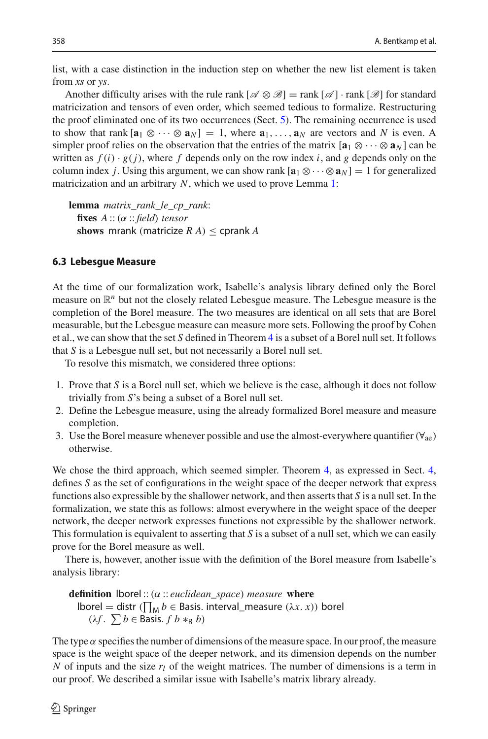list, with a case distinction in the induction step on whether the new list element is taken from *xs* or *ys*.

Another difficulty arises with the rule rank  $[\mathcal{A} \otimes \mathcal{B}] = \text{rank} [\mathcal{A}] \cdot \text{rank} [\mathcal{B}]$  for standard matricization and tensors of even order, which seemed tedious to formalize. Restructuring the proof eliminated one of its two occurrences (Sect. [5\)](#page-7-0). The remaining occurrence is used to show that rank  $[\mathbf{a}_1 \otimes \cdots \otimes \mathbf{a}_N] = 1$ , where  $\mathbf{a}_1, \ldots, \mathbf{a}_N$  are vectors and N is even. A simpler proof relies on the observation that the entries of the matrix  $[\mathbf{a}_1 \otimes \cdots \otimes \mathbf{a}_N]$  can be written as  $f(i) \cdot g(j)$ , where f depends only on the row index *i*, and g depends only on the column index *j*. Using this argument, we can show rank  $[\mathbf{a}_1 \otimes \cdots \otimes \mathbf{a}_N] = 1$  for generalized matricization and an arbitrary *N*, which we used to prove Lemma [1:](#page-3-1)

```
lemma matrix_rank_le_cp_rank:
  fixes A :: (\alpha :: field) tensor
  shows mrank (matricize R A) \leq cprank A
```
# **6.3 Lebesgue Measure**

At the time of our formalization work, Isabelle's analysis library defined only the Borel measure on  $\mathbb{R}^n$  but not the closely related Lebesgue measure. The Lebesgue measure is the completion of the Borel measure. The two measures are identical on all sets that are Borel measurable, but the Lebesgue measure can measure more sets. Following the proof by Cohen et al., we can show that the set *S* defined in Theorem [4](#page-6-0) is a subset of a Borel null set. It follows that *S* is a Lebesgue null set, but not necessarily a Borel null set.

To resolve this mismatch, we considered three options:

- 1. Prove that *S* is a Borel null set, which we believe is the case, although it does not follow trivially from *S*'s being a subset of a Borel null set.
- 2. Define the Lebesgue measure, using the already formalized Borel measure and measure completion.
- 3. Use the Borel measure whenever possible and use the almost-everywhere quantifier ( $\forall_{ae}$ ) otherwise.

We chose the third approach, which seemed simpler. Theorem [4,](#page-4-0) as expressed in Sect. 4, defines *S* as the set of configurations in the weight space of the deeper network that express functions also expressible by the shallower network, and then asserts that *S* is a null set. In the formalization, we state this as follows: almost everywhere in the weight space of the deeper network, the deeper network expresses functions not expressible by the shallower network. This formulation is equivalent to asserting that *S* is a subset of a null set, which we can easily prove for the Borel measure as well.

There is, however, another issue with the definition of the Borel measure from Isabelle's analysis library:

**definition** lborel ::(α :: *euclidean*\_*space*) *measure* **where** lborel = distr ( $\prod_{M} b \in$  Basis. interval\_measure ( $\lambda x. x$ )) borel  $(\lambda f. \sum b \in \text{Basis}. f b *_{\text{R}} b)$ 

The type  $\alpha$  specifies the number of dimensions of the measure space. In our proof, the measure space is the weight space of the deeper network, and its dimension depends on the number *N* of inputs and the size  $r_l$  of the weight matrices. The number of dimensions is a term in our proof. We described a similar issue with Isabelle's matrix library already.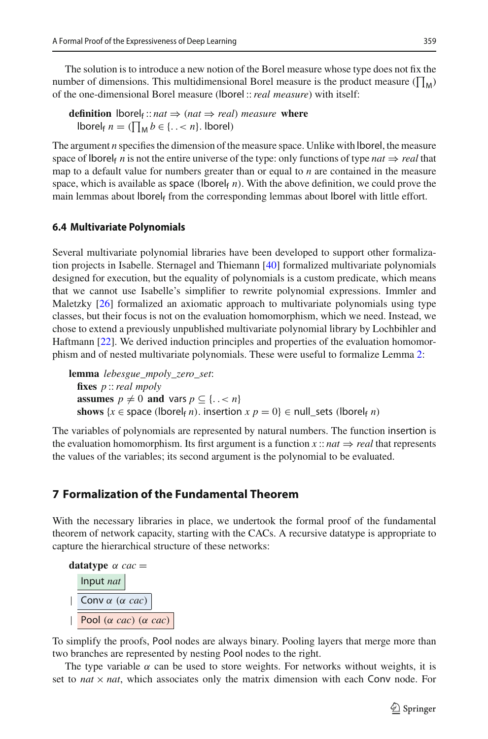The solution is to introduce a new notion of the Borel measure whose type does not fix the number of dimensions. This multidimensional Borel measure is the product measure  $(\prod_{M})$ of the one-dimensional Borel measure (lborel ::*real measure*) with itself:

**definition**  $\text{lborel}_{f} :: nat \Rightarrow (nat \Rightarrow real) \text{ measure where}$  $\textsf{lborel}_{\textsf{f}}\,n = (\prod_{\mathsf{M}} b \in \{\ldots < n\}. \textsf{lborel})$ 

The argument *n* specifies the dimension of the measure space. Unlike with lborel, the measure space of lborel<sub>f</sub> *n* is not the entire universe of the type: only functions of type *nat*  $\Rightarrow$  *real* that map to a default value for numbers greater than or equal to *n* are contained in the measure space, which is available as space (lborel<sub>f n</sub>). With the above definition, we could prove the main lemmas about lborelf from the corresponding lemmas about lborel with little effort.

#### **6.4 Multivariate Polynomials**

Several multivariate polynomial libraries have been developed to support other formalization projects in Isabelle. Sternagel and Thiemann [\[40](#page-21-2)] formalized multivariate polynomials designed for execution, but the equality of polynomials is a custom predicate, which means that we cannot use Isabelle's simplifier to rewrite polynomial expressions. Immler and Maletzky [\[26](#page-20-16)] formalized an axiomatic approach to multivariate polynomials using type classes, but their focus is not on the evaluation homomorphism, which we need. Instead, we chose to extend a previously unpublished multivariate polynomial library by Lochbihler and Haftmann [\[22](#page-20-6)]. We derived induction principles and properties of the evaluation homomorphism and of nested multivariate polynomials. These were useful to formalize Lemma [2:](#page-3-0)

**lemma** *lebesgue\_mpoly\_zero\_set*: **fixes** *p* ::*real mpoly* **assumes**  $p \neq 0$  **and** vars  $p \subseteq \{... \leq n\}$ **shows** {*x* ∈ space (lborel<sub>f</sub> *n*). insertion *x p* = 0} ∈ null\_sets (lborel<sub>f</sub> *n*)

The variables of polynomials are represented by natural numbers. The function insertion is the evaluation homomorphism. Its first argument is a function  $x$  :: *nat*  $\Rightarrow$  *real* that represents the values of the variables; its second argument is the polynomial to be evaluated.

## <span id="page-12-0"></span>**7 Formalization of the Fundamental Theorem**

With the necessary libraries in place, we undertook the formal proof of the fundamental theorem of network capacity, starting with the CACs. A recursive datatype is appropriate to capture the hierarchical structure of these networks:



To simplify the proofs, Pool nodes are always binary. Pooling layers that merge more than two branches are represented by nesting Pool nodes to the right.

The type variable  $\alpha$  can be used to store weights. For networks without weights, it is set to *nat*  $\times$  *nat*, which associates only the matrix dimension with each Conv node. For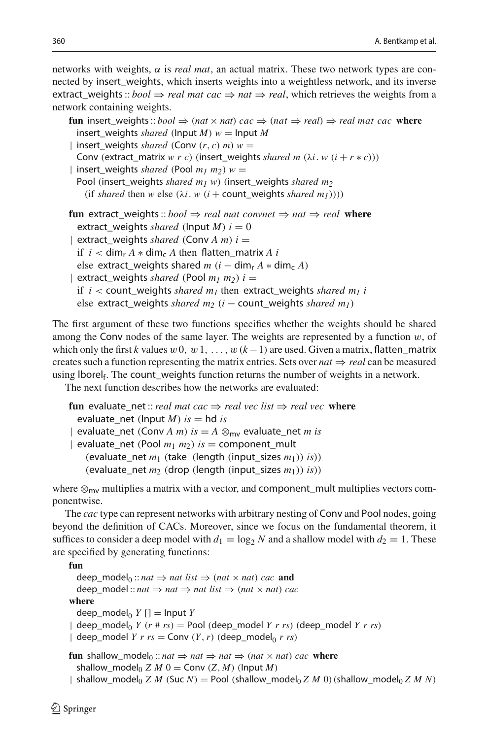networks with weights,  $\alpha$  is *real mat*, an actual matrix. These two network types are connected by insert\_weights, which inserts weights into a weightless network, and its inverse extract\_weights:: *bool*  $\Rightarrow$  *real mat cac*  $\Rightarrow$  *nat*  $\Rightarrow$  *real*, which retrieves the weights from a network containing weights.

- **fun** insert\_weights:: *bool*  $\Rightarrow$  (*nat*  $\times$  *nat*) *cac*  $\Rightarrow$  (*nat*  $\Rightarrow$  *real*)  $\Rightarrow$  *real mat cac* where insert\_weights *shared* (Input *M*)  $w =$  Input *M*
- | insert\_weights *shared* (Conv  $(r, c)$  *m*)  $w =$
- Conv (extract matrix *w r c*) (insert weights *shared m* ( $\lambda i$ . *w* ( $i + r * c$ )))
- | insert\_weights *shared* (Pool  $m_1$   $m_2$ )  $w =$ Pool (insert\_weights *shared m1 w*) (insert\_weights *shared m2* (if *shared* then *w* else ( $\lambda i$ . *w* ( $i$  + count\_weights *shared m*<sub>1</sub>))))

```
fun extract_weights:: bool ⇒ real mat convnet ⇒ nat ⇒ real where
  extract_weights shared (Input M) i = 0| extract_weights shared (Conv A m) i =if i < dim<sub>r</sub> A * dim<sub>c</sub> A then flatten_matrix A ielse extract_weights shared m(i - \dim_f A * \dim_c A)
```
- | extract\_weights *shared* (Pool  $m_1$   $m_2$ )  $i =$ 
	- if  $i <$  count\_weights *shared*  $m_l$  then extract\_weights *shared*  $m_l$  *i* else extract\_weights *shared m2* (*i* − count\_weights *shared m1*)

The first argument of these two functions specifies whether the weights should be shared among the Conv nodes of the same layer. The weights are represented by a function  $w$ , of which only the first *k* values w0, w1, ...,  $w(k-1)$  are used. Given a matrix, flatten\_matrix creates such a function representing the matrix entries. Sets over  $nat \Rightarrow real$  can be measured using lborel<sub>f</sub>. The count\_weights function returns the number of weights in a network.

The next function describes how the networks are evaluated:

```
fun evaluate net :: real mat cac \Rightarrow real vec list \Rightarrow real vec where
  evaluate_net (lnput M) is = hd is| evaluate_net (Conv A m) is = A \otimes_{mv} evaluate_net m is
| evaluate_net (Pool m_1 m_2) is = component_mult
    (evaluate net m_1 (take (length (input_sizes m_1)) is))
    (evaluate_net m2 (drop (length (input_sizes m1)) is))
```
where  $\otimes_{mv}$  multiplies a matrix with a vector, and component\_mult multiplies vectors componentwise.

The *cac* type can represent networks with arbitrary nesting of Conv and Pool nodes, going beyond the definition of CACs. Moreover, since we focus on the fundamental theorem, it suffices to consider a deep model with  $d_1 = \log_2 N$  and a shallow model with  $d_2 = 1$ . These are specified by generating functions:

#### **fun**

 $\text{deep_model}_0 :: nat \Rightarrow nat list \Rightarrow (nat \times nat) cac$  **and** deep\_model :: *nat* ⇒ *nat* ⇒ *nat list* ⇒ (*nat* × *nat*) *cac* **where** deep\_model<sub>0</sub>  $Y$  [] = lnput  $Y$ | deep\_model<sub>0</sub> *Y*  $(r \# rs)$  = Pool (deep\_model *Y r rs*) (deep\_model *Y r rs*) | deep\_model *Y*  $r$   $rs$  = Conv  $(Y, r)$  (deep\_model<sub>0</sub>  $r$   $rs$ ) **fun** shallow\_model<sub>0</sub> :: *nat*  $\Rightarrow$  *nat*  $\Rightarrow$  *nat*  $\Rightarrow$  (*nat*  $\times$  *nat*) *cac* **where** shallow\_model<sub>0</sub>  $Z M 0 =$  Conv  $(Z, M)$  (Input  $M$ ) | shallow\_model<sub>0</sub> *Z M* (Suc *N*) = Pool (shallow\_model<sub>0</sub> *Z M* 0) (shallow\_model<sub>0</sub> *Z M N*)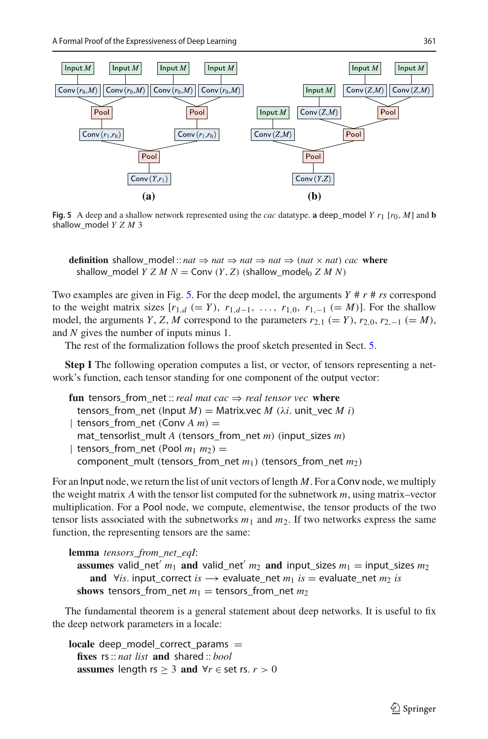

<span id="page-14-0"></span>**Fig. 5** A deep and a shallow network represented using the *cac* datatype. **a** deep\_model *Y*  $r_1$  [ $r_0$ , *M*] and **b** shallow\_model *Y Z M* 3

**definition** shallow\_model :: *nat*  $\Rightarrow$  *nat*  $\Rightarrow$  *nat*  $\Rightarrow$  *nat*  $\Rightarrow$  (*nat*  $\times$  *nat*) *cac* where shallow\_model *Y Z M N* = Conv (*Y*, *Z*) (shallow\_model<sub>0</sub> *Z M N*)

Two examples are given in Fig. [5.](#page-14-0) For the deep model, the arguments *Y* # *r* # *rs* correspond to the weight matrix sizes  $[r_{1,d} (= Y), r_{1,d-1}, \ldots, r_{1,0}, r_{1,-1} (= M)]$ . For the shallow model, the arguments *Y*, *Z*, *M* correspond to the parameters  $r_{2,1} (= Y)$ ,  $r_{2,0}$ ,  $r_{2,-1} (= M)$ , and *N* gives the number of inputs minus 1.

The rest of the formalization follows the proof sketch presented in Sect. [5.](#page-7-0)

**Step I** The following operation computes a list, or vector, of tensors representing a network's function, each tensor standing for one component of the output vector:

**fun** tensors from net :: *real mat cac*  $\Rightarrow$  *real tensor vec* **where** tensors\_from\_net (lnput  $M$ ) = Matrix.vec  $M$  ( $\lambda i$ . unit\_vec  $M$  *i*) | tensors from net (Conv  $A$   $m$ ) = mat\_tensorlist\_mult *A* (tensors\_from\_net *m*) (input\_sizes *m*) | tensors from net (Pool  $m_1$   $m_2$ ) = component\_mult (tensors\_from\_net *m*1) (tensors\_from\_net *m*2)

For an Input node, we return the list of unit vectors of length *M*. For a Conv node, we multiply the weight matrix *A* with the tensor list computed for the subnetwork *m*, using matrix–vector multiplication. For a Pool node, we compute, elementwise, the tensor products of the two tensor lists associated with the subnetworks  $m_1$  and  $m_2$ . If two networks express the same function, the representing tensors are the same:

**lemma** *tensors\_from\_net\_eqI*: **assumes** valid\_net'  $m_1$  **and** valid\_net'  $m_2$  **and** input\_sizes  $m_1$  = input\_sizes  $m_2$ **and**  $\forall$ *is*. input\_correct *is* → evaluate\_net *m*<sub>1</sub> *is* = evaluate\_net *m*<sub>2</sub> *is* shows tensors\_from\_net  $m_1$  = tensors\_from\_net  $m_2$ 

The fundamental theorem is a general statement about deep networks. It is useful to fix the deep network parameters in a locale:

```
locale deep_model_correct_params =
  fixes rs:: nat list and shared :: bool
  assumes length rs \geq 3 and \forall r \in \text{set} rs. r > 0
```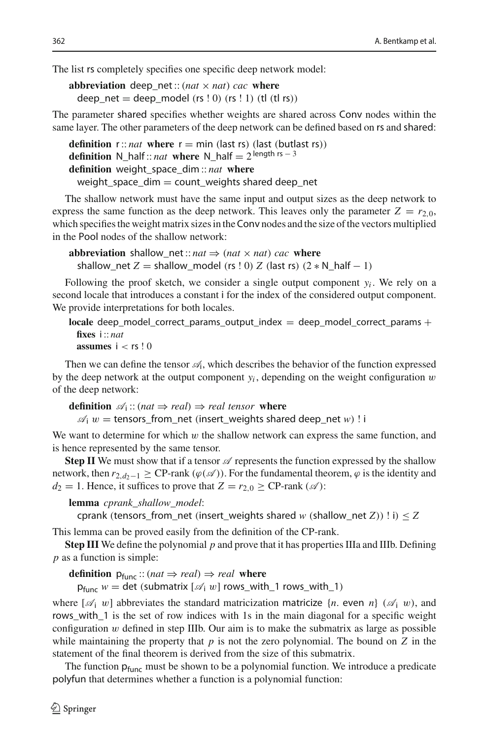The list rs completely specifies one specific deep network model:

```
abbreviation deep net:: (nat \times nat) cac where
 deep net = deep model (rs ! 0) (rs ! 1) (tl (tl rs))
```
The parameter shared specifies whether weights are shared across Conv nodes within the same layer. The other parameters of the deep network can be defined based on rs and shared:

```
definition r :: nat where r = min (last rs) (last (butlast rs))
definition N_half :: nat where N_half = 2^{length} rs -3definition weight_space_dim :: nat where
 weight_space_dim = count_weights shared deep_net
```
The shallow network must have the same input and output sizes as the deep network to express the same function as the deep network. This leaves only the parameter  $Z = r_{2,0}$ , which specifies the weight matrix sizes in the Conv nodes and the size of the vectors multiplied in the Pool nodes of the shallow network:

**abbreviation** shallow\_net::  $nat \Rightarrow (nat \times nat)$  *cac* where shallow\_net *Z* = shallow\_model (rs ! 0) *Z* (last rs)  $(2 * N \text{ half } - 1)$ 

Following the proof sketch, we consider a single output component  $y_i$ . We rely on a second locale that introduces a constant i for the index of the considered output component. We provide interpretations for both locales.

**locale** deep\_model\_correct\_params\_output\_index = deep\_model\_correct\_params + **fixes** i :: *nat* **assumes**  $i < rs$  ! 0

Then we can define the tensor  $\mathcal{A}_i$ , which describes the behavior of the function expressed by the deep network at the output component  $y_i$ , depending on the weight configuration  $w$ of the deep network:

**definition**  $\mathscr{A}_i$  :: (*nat*  $\Rightarrow$  *real*)  $\Rightarrow$  *real tensor* **where** 

 $\mathcal{A}_i w$  = tensors\_from\_net (insert\_weights shared deep\_net *w*) ! i

We want to determine for which  $w$  the shallow network can express the same function, and is hence represented by the same tensor.

**Step II** We must show that if a tensor  $\mathscr A$  represents the function expressed by the shallow network, then  $r_{2,d_2-1} \geq CP$ -rank ( $\varphi(\mathscr{A})$ ). For the fundamental theorem,  $\varphi$  is the identity and  $d_2 = 1$ . Hence, it suffices to prove that  $Z = r_{2,0} \geq \text{CP-rank }(\mathcal{A})$ :

**lemma** *cprank\_shallow\_model*:

```
cprank (tensors_from_net (insert_weights shared w (shallow_net Z)) ! i) \leq Z
```
This lemma can be proved easily from the definition of the CP-rank.

**Step III** We define the polynomial *p* and prove that it has properties IIIa and IIIb. Defining *p* as a function is simple:

**definition**  $p_{func}$  :: (*nat*  $\Rightarrow$  *real*)  $\Rightarrow$  *real* where

 $p_{func}$   $w =$  det (submatrix  $[\mathcal{A}_i \ w]$  rows\_with\_1 rows\_with\_1)

where  $\lceil \mathcal{A}_i \mid w \rceil$  abbreviates the standard matricization matricize  $\{n, \text{ even } n\}$  ( $\mathcal{A}_i \mid w$ ), and rows\_with\_1 is the set of row indices with 1s in the main diagonal for a specific weight configuration  $w$  defined in step IIIb. Our aim is to make the submatrix as large as possible while maintaining the property that *p* is not the zero polynomial. The bound on *Z* in the statement of the final theorem is derived from the size of this submatrix.

The function  $p_{func}$  must be shown to be a polynomial function. We introduce a predicate polyfun that determines whether a function is a polynomial function: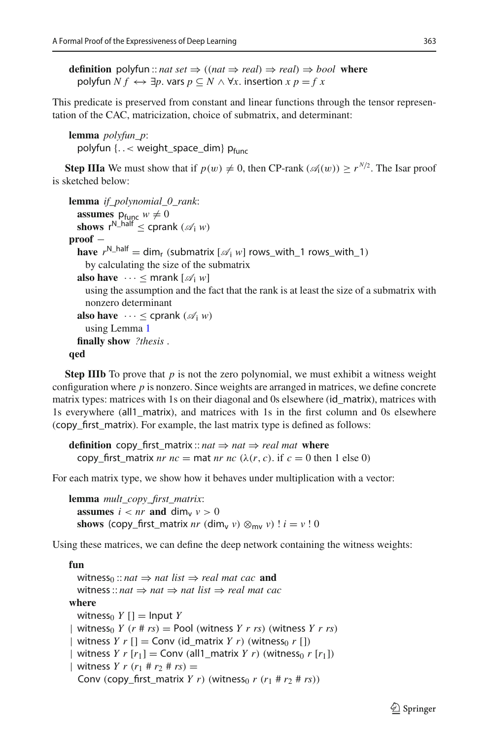**definition** polyfun:: *nat set*  $\Rightarrow$  ((*nat*  $\Rightarrow$  *real*)  $\Rightarrow$  *real*)  $\Rightarrow$  *bool* where polyfun *N f*  $\leftrightarrow$  ∃*p*. vars  $p \subseteq N \land \forall x$ . insertion  $x p = f x$ 

This predicate is preserved from constant and linear functions through the tensor representation of the CAC, matricization, choice of submatrix, and determinant:

**lemma** *polyfun\_p*: polyfun  $\{...$  weight\_space\_dim}  $p_{func}$ 

**Step IIIa** We must show that if  $p(w) \neq 0$ , then CP-rank  $(A_1^i(w)) \geq r^{N/2}$ . The Isar proof is sketched below:

```
lemma if_polynomial_0_rank:
  assumes p_{\text{func}} w \neq 0shows r^{N\_half} \leq cprank (\mathscr{A}_i w)proof −
  have r^{\text{N}_{\text{h}} half = dim<sub>r</sub> (submatrix [\mathcal{A}_i \, w] rows_with_1 rows_with_1)
    by calculating the size of the submatrix
  also have \cdots < mrank [\mathcal{A}, w]using the assumption and the fact that the rank is at least the size of a submatrix with
    nonzero determinant
  also have \cdots < cprank (\mathscr{A}_{i} w)using Lemma 1
  finally show ?thesis .
qed
```
**Step IIIb** To prove that  $p$  is not the zero polynomial, we must exhibit a witness weight configuration where *p* is nonzero. Since weights are arranged in matrices, we define concrete matrix types: matrices with 1s on their diagonal and 0s elsewhere (id\_matrix), matrices with 1s everywhere (all1\_matrix), and matrices with 1s in the first column and 0s elsewhere (copy\_first\_matrix). For example, the last matrix type is defined as follows:

**definition** copy first matrix :: *nat*  $\Rightarrow$  *nat*  $\Rightarrow$  *real mat* where copy first matrix  $nr$   $nc =$  mat  $nr$   $nc$  ( $\lambda$ ( $r$ ,  $c$ ). if  $c = 0$  then 1 else 0)

For each matrix type, we show how it behaves under multiplication with a vector:

**lemma** *mult\_copy\_first\_matrix*: **assumes**  $i < nr$  **and** dim<sub>v</sub>  $v > 0$ **shows** (copy\_first\_matrix *nr* (dim<sub>v</sub> *v*)  $\otimes_{\text{mv}} v$ ) !  $i = v$  ! 0

Using these matrices, we can define the deep network containing the witness weights:

**fun**

witness<sub>0</sub> :: *nat*  $\Rightarrow$  *nat list*  $\Rightarrow$  *real mat cac* **and** witness:: *nat*  $\Rightarrow$  *nat*  $\Rightarrow$  *nat list*  $\Rightarrow$  *real mat cac* **where** witness<sub>0</sub>  $Y$   $|$  = lnput  $Y$ | witness<sub>0</sub> *Y* ( $r$  #  $rs$ ) = Pool (witness *Y r rs*) (witness *Y r rs*) | witness  $Y r$  | = Conv (id\_matrix  $Y r$ ) (witness<sub>0</sub>  $r$  | ]) | witness *Y*  $r$   $[r_1]$  = Conv (all1\_matrix *Y*  $r$ ) (witness<sub>0</sub>  $r$   $[r_1]$ ) | witness *Y r*  $(r_1 \# r_2 \# rs) =$ Conv (copy\_first\_matrix *Y r*) (witness<sub>0</sub> *r* ( $r_1$  #  $r_2$  #  $rs$ ))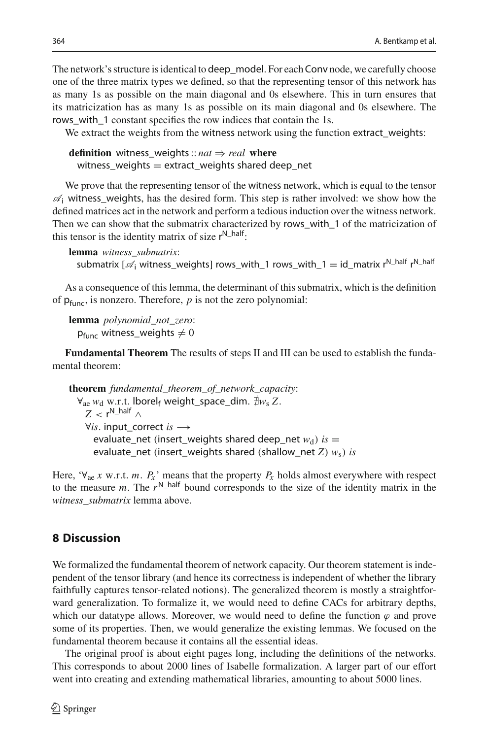The network's structure is identical to deep\_model. For each Conv node, we carefully choose one of the three matrix types we defined, so that the representing tensor of this network has as many 1s as possible on the main diagonal and 0s elsewhere. This in turn ensures that its matricization has as many 1s as possible on its main diagonal and 0s elsewhere. The rows with 1 constant specifies the row indices that contain the 1s.

We extract the weights from the witness network using the function extract weights:

```
definition witness weights:: nat \Rightarrow real where
 witness_weights = extract_weights shared deep_net
```
We prove that the representing tensor of the witness network, which is equal to the tensor  $\mathcal{A}_i$  witness\_weights, has the desired form. This step is rather involved: we show how the defined matrices act in the network and perform a tedious induction over the witness network. Then we can show that the submatrix characterized by rows with 1 of the matricization of this tensor is the identity matrix of size  $r^{N_h}$ <sup>half</sup>:

```
lemma witness_submatrix:
  submatrix [\mathscr{A}_i witness_weights] rows_with_1 rows_with_1 = id_matrix r<sup>N_half</sup> r<sup>N_half</sup>
```
As a consequence of this lemma, the determinant of this submatrix, which is the definition of  $p_{func}$ , is nonzero. Therefore,  $p$  is not the zero polynomial:

```
lemma polynomial_not_zero:
 p_{func} witness_weights \neq 0
```
**Fundamental Theorem** The results of steps II and III can be used to establish the fundamental theorem:

```
theorem fundamental_theorem_of_network_capacity:
  ∀ae wd w.r.t. lborelf weight_space_dim. -
ws Z.
    Z < r^N_-\text{half} \wedge∀is. input_correct is −→-
     evaluate_net (insert_weights shared deep_net w_d) is =
     evaluate_net (insert_weights shared (shallow_net Z) ws) is
```
Here,  $\forall_{ae} x \text{ w.r.t. } m$ .  $P_x$  means that the property  $P_x$  holds almost everywhere with respect to the measure  $m$ . The  $r^{\text{N}_{\text{h}}$ <sup>nd</sup> bound corresponds to the size of the identity matrix in the *witness*\_*submatrix* lemma above.

## **8 Discussion**

We formalized the fundamental theorem of network capacity. Our theorem statement is independent of the tensor library (and hence its correctness is independent of whether the library faithfully captures tensor-related notions). The generalized theorem is mostly a straightforward generalization. To formalize it, we would need to define CACs for arbitrary depths, which our datatype allows. Moreover, we would need to define the function  $\varphi$  and prove some of its properties. Then, we would generalize the existing lemmas. We focused on the fundamental theorem because it contains all the essential ideas.

The original proof is about eight pages long, including the definitions of the networks. This corresponds to about 2000 lines of Isabelle formalization. A larger part of our effort went into creating and extending mathematical libraries, amounting to about 5000 lines.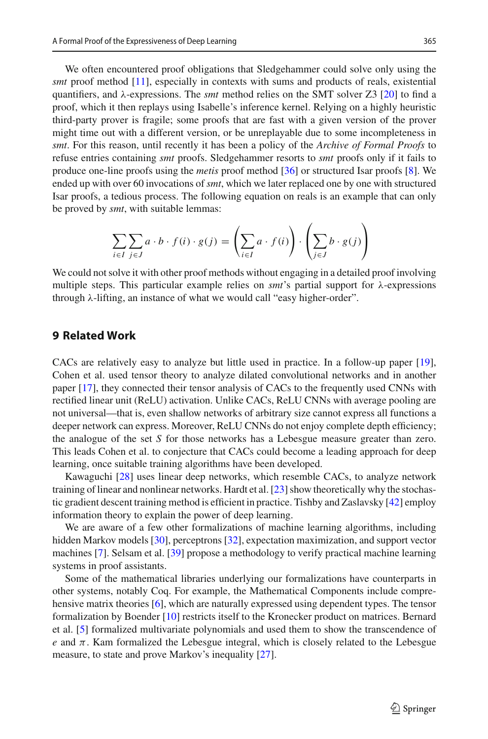We often encountered proof obligations that Sledgehammer could solve only using the *smt* proof method [\[11](#page-19-6)], especially in contexts with sums and products of reals, existential quantifiers, and λ-expressions. The *smt* method relies on the SMT solver Z3 [\[20](#page-20-17)] to find a proof, which it then replays using Isabelle's inference kernel. Relying on a highly heuristic third-party prover is fragile; some proofs that are fast with a given version of the prover might time out with a different version, or be unreplayable due to some incompleteness in *smt*. For this reason, until recently it has been a policy of the *Archive of Formal Proofs* to refuse entries containing *smt* proofs. Sledgehammer resorts to *smt* proofs only if it fails to produce one-line proofs using the *metis* proof method [\[36\]](#page-20-18) or structured Isar proofs [\[8\]](#page-19-7). We ended up with over 60 invocations of *smt*, which we later replaced one by one with structured Isar proofs, a tedious process. The following equation on reals is an example that can only be proved by *smt*, with suitable lemmas:

$$
\sum_{i \in I} \sum_{j \in J} a \cdot b \cdot f(i) \cdot g(j) = \left( \sum_{i \in I} a \cdot f(i) \right) \cdot \left( \sum_{j \in J} b \cdot g(j) \right)
$$

We could not solve it with other proof methods without engaging in a detailed proof involving multiple steps. This particular example relies on  $smt$ 's partial support for  $\lambda$ -expressions through λ-lifting, an instance of what we would call "easy higher-order".

### **9 Related Work**

CACs are relatively easy to analyze but little used in practice. In a follow-up paper [\[19\]](#page-20-19), Cohen et al. used tensor theory to analyze dilated convolutional networks and in another paper [\[17](#page-20-20)], they connected their tensor analysis of CACs to the frequently used CNNs with rectified linear unit (ReLU) activation. Unlike CACs, ReLU CNNs with average pooling are not universal—that is, even shallow networks of arbitrary size cannot express all functions a deeper network can express. Moreover, ReLU CNNs do not enjoy complete depth efficiency; the analogue of the set *S* for those networks has a Lebesgue measure greater than zero. This leads Cohen et al. to conjecture that CACs could become a leading approach for deep learning, once suitable training algorithms have been developed.

Kawaguchi [\[28](#page-20-21)] uses linear deep networks, which resemble CACs, to analyze network training of linear and nonlinear networks. Hardt et al. [\[23](#page-20-22)] show theoretically why the stochastic gradient descent training method is efficient in practice. Tishby and Zaslavsky [\[42\]](#page-21-3) employ information theory to explain the power of deep learning.

We are aware of a few other formalizations of machine learning algorithms, including hidden Markov models [\[30](#page-20-23)], perceptrons [\[32](#page-20-24)], expectation maximization, and support vector machines [\[7\]](#page-19-8). Selsam et al. [\[39](#page-21-4)] propose a methodology to verify practical machine learning systems in proof assistants.

Some of the mathematical libraries underlying our formalizations have counterparts in other systems, notably Coq. For example, the Mathematical Components include compre-hensive matrix theories [\[6](#page-19-9)], which are naturally expressed using dependent types. The tensor formalization by Boender [\[10\]](#page-19-10) restricts itself to the Kronecker product on matrices. Bernard et al. [\[5\]](#page-19-11) formalized multivariate polynomials and used them to show the transcendence of *e* and  $\pi$ . Kam formalized the Lebesgue integral, which is closely related to the Lebesgue measure, to state and prove Markov's inequality [\[27\]](#page-20-25).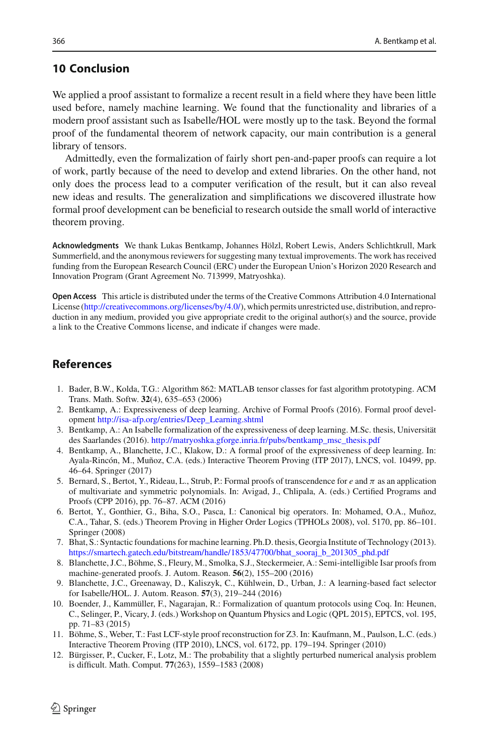#### **10 Conclusion**

We applied a proof assistant to formalize a recent result in a field where they have been little used before, namely machine learning. We found that the functionality and libraries of a modern proof assistant such as Isabelle/HOL were mostly up to the task. Beyond the formal proof of the fundamental theorem of network capacity, our main contribution is a general library of tensors.

Admittedly, even the formalization of fairly short pen-and-paper proofs can require a lot of work, partly because of the need to develop and extend libraries. On the other hand, not only does the process lead to a computer verification of the result, but it can also reveal new ideas and results. The generalization and simplifications we discovered illustrate how formal proof development can be beneficial to research outside the small world of interactive theorem proving.

**Acknowledgments** We thank Lukas Bentkamp, Johannes Hölzl, Robert Lewis, Anders Schlichtkrull, Mark Summerfield, and the anonymous reviewers for suggesting many textual improvements. The work has received funding from the European Research Council (ERC) under the European Union's Horizon 2020 Research and Innovation Program (Grant Agreement No. 713999, Matryoshka).

**Open Access** This article is distributed under the terms of the Creative Commons Attribution 4.0 International License [\(http://creativecommons.org/licenses/by/4.0/\)](http://creativecommons.org/licenses/by/4.0/), which permits unrestricted use, distribution, and reproduction in any medium, provided you give appropriate credit to the original author(s) and the source, provide a link to the Creative Commons license, and indicate if changes were made.

## **References**

- <span id="page-19-5"></span>1. Bader, B.W., Kolda, T.G.: Algorithm 862: MATLAB tensor classes for fast algorithm prototyping. ACM Trans. Math. Softw. **32**(4), 635–653 (2006)
- <span id="page-19-0"></span>2. Bentkamp, A.: Expressiveness of deep learning. Archive of Formal Proofs (2016). Formal proof development [http://isa-afp.org/entries/Deep\\_Learning.shtml](http://isa-afp.org/entries/Deep_Learning.shtml)
- <span id="page-19-1"></span>3. Bentkamp, A.: An Isabelle formalization of the expressiveness of deep learning. M.Sc. thesis, Universität des Saarlandes (2016). [http://matryoshka.gforge.inria.fr/pubs/bentkamp\\_msc\\_thesis.pdf](http://matryoshka.gforge.inria.fr/pubs/bentkamp_msc_thesis.pdf)
- <span id="page-19-2"></span>4. Bentkamp, A., Blanchette, J.C., Klakow, D.: A formal proof of the expressiveness of deep learning. In: Ayala-Rincón, M., Muñoz, C.A. (eds.) Interactive Theorem Proving (ITP 2017), LNCS, vol. 10499, pp. 46–64. Springer (2017)
- <span id="page-19-11"></span>5. Bernard, S., Bertot, Y., Rideau, L., Strub, P.: Formal proofs of transcendence for *e* and π as an application of multivariate and symmetric polynomials. In: Avigad, J., Chlipala, A. (eds.) Certified Programs and Proofs (CPP 2016), pp. 76–87. ACM (2016)
- <span id="page-19-9"></span>6. Bertot, Y., Gonthier, G., Biha, S.O., Pasca, I.: Canonical big operators. In: Mohamed, O.A., Muñoz, C.A., Tahar, S. (eds.) Theorem Proving in Higher Order Logics (TPHOLs 2008), vol. 5170, pp. 86–101. Springer (2008)
- <span id="page-19-8"></span>7. Bhat, S.: Syntactic foundations for machine learning. Ph.D. thesis, Georgia Institute of Technology (2013). [https://smartech.gatech.edu/bitstream/handle/1853/47700/bhat\\_sooraj\\_b\\_201305\\_phd.pdf](https://smartech.gatech.edu/bitstream/handle/1853/47700/bhat_sooraj_b_201305_phd.pdf)
- <span id="page-19-7"></span>8. Blanchette, J.C., Böhme, S., Fleury, M., Smolka, S.J., Steckermeier, A.: Semi-intelligible Isar proofs from machine-generated proofs. J. Autom. Reason. **56**(2), 155–200 (2016)
- <span id="page-19-3"></span>9. Blanchette, J.C., Greenaway, D., Kaliszyk, C., Kühlwein, D., Urban, J.: A learning-based fact selector for Isabelle/HOL. J. Autom. Reason. **57**(3), 219–244 (2016)
- <span id="page-19-10"></span>10. Boender, J., Kammüller, F., Nagarajan, R.: Formalization of quantum protocols using Coq. In: Heunen, C., Selinger, P., Vicary, J. (eds.) Workshop on Quantum Physics and Logic (QPL 2015), EPTCS, vol. 195, pp. 71–83 (2015)
- <span id="page-19-6"></span>11. Böhme, S., Weber, T.: Fast LCF-style proof reconstruction for Z3. In: Kaufmann, M., Paulson, L.C. (eds.) Interactive Theorem Proving (ITP 2010), LNCS, vol. 6172, pp. 179–194. Springer (2010)
- <span id="page-19-4"></span>12. Bürgisser, P., Cucker, F., Lotz, M.: The probability that a slightly perturbed numerical analysis problem is difficult. Math. Comput. **77**(263), 1559–1583 (2008)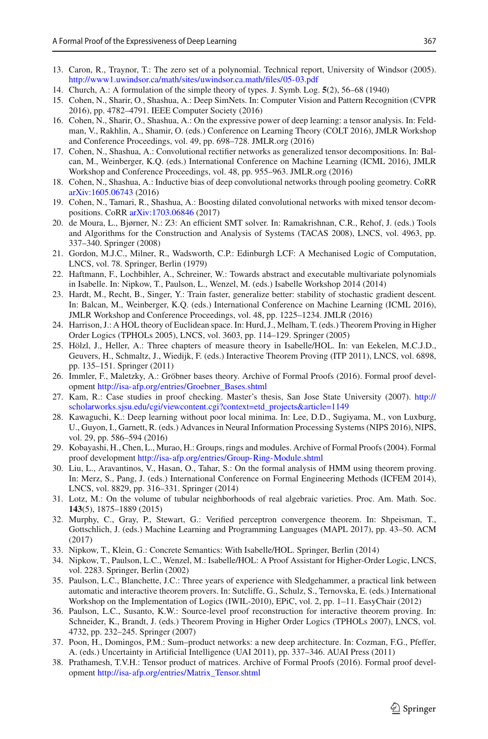- <span id="page-20-10"></span>13. Caron, R., Traynor, T.: The zero set of a polynomial. Technical report, University of Windsor (2005). <http://www1.uwindsor.ca/math/sites/uwindsor.ca.math/files/05-03.pdf>
- <span id="page-20-7"></span>14. Church, A.: A formulation of the simple theory of types. J. Symb. Log. **5**(2), 56–68 (1940)
- <span id="page-20-2"></span>15. Cohen, N., Sharir, O., Shashua, A.: Deep SimNets. In: Computer Vision and Pattern Recognition (CVPR 2016), pp. 4782–4791. IEEE Computer Society (2016)
- <span id="page-20-0"></span>16. Cohen, N., Sharir, O., Shashua, A.: On the expressive power of deep learning: a tensor analysis. In: Feldman, V., Rakhlin, A., Shamir, O. (eds.) Conference on Learning Theory (COLT 2016), JMLR Workshop and Conference Proceedings, vol. 49, pp. 698–728. JMLR.org (2016)
- <span id="page-20-20"></span>17. Cohen, N., Shashua, A.: Convolutional rectifier networks as generalized tensor decompositions. In: Balcan, M., Weinberger, K.Q. (eds.) International Conference on Machine Learning (ICML 2016), JMLR Workshop and Conference Proceedings, vol. 48, pp. 955–963. JMLR.org (2016)
- <span id="page-20-11"></span>18. Cohen, N., Shashua, A.: Inductive bias of deep convolutional networks through pooling geometry. CoRR [arXiv:1605.06743](http://arxiv.org/abs/1605.06743) (2016)
- <span id="page-20-19"></span>19. Cohen, N., Tamari, R., Shashua, A.: Boosting dilated convolutional networks with mixed tensor decompositions. CoRR [arXiv:1703.06846](http://arxiv.org/abs/1703.06846) (2017)
- <span id="page-20-17"></span>20. de Moura, L., Bjørner, N.: Z3: An efficient SMT solver. In: Ramakrishnan, C.R., Rehof, J. (eds.) Tools and Algorithms for the Construction and Analysis of Systems (TACAS 2008), LNCS, vol. 4963, pp. 337–340. Springer (2008)
- <span id="page-20-8"></span>21. Gordon, M.J.C., Milner, R., Wadsworth, C.P.: Edinburgh LCF: A Mechanised Logic of Computation, LNCS, vol. 78. Springer, Berlin (1979)
- <span id="page-20-6"></span>22. Haftmann, F., Lochbihler, A., Schreiner, W.: Towards abstract and executable multivariate polynomials in Isabelle. In: Nipkow, T., Paulson, L., Wenzel, M. (eds.) Isabelle Workshop 2014 (2014)
- <span id="page-20-22"></span>23. Hardt, M., Recht, B., Singer, Y.: Train faster, generalize better: stability of stochastic gradient descent. In: Balcan, M., Weinberger, K.Q. (eds.) International Conference on Machine Learning (ICML 2016), JMLR Workshop and Conference Proceedings, vol. 48, pp. 1225–1234. JMLR (2016)
- <span id="page-20-13"></span>24. Harrison, J.: A HOL theory of Euclidean space. In: Hurd, J., Melham, T. (eds.) Theorem Proving in Higher Order Logics (TPHOLs 2005), LNCS, vol. 3603, pp. 114–129. Springer (2005)
- <span id="page-20-5"></span>25. Hölzl, J., Heller, A.: Three chapters of measure theory in Isabelle/HOL. In: van Eekelen, M.C.J.D., Geuvers, H., Schmaltz, J., Wiedijk, F. (eds.) Interactive Theorem Proving (ITP 2011), LNCS, vol. 6898, pp. 135–151. Springer (2011)
- <span id="page-20-16"></span>26. Immler, F., Maletzky, A.: Gröbner bases theory. Archive of Formal Proofs (2016). Formal proof development [http://isa-afp.org/entries/Groebner\\_Bases.shtml](http://isa-afp.org/entries/Groebner_Bases.shtml)
- <span id="page-20-25"></span>27. Kam, R.: Case studies in proof checking. Master's thesis, San Jose State University (2007). [http://](http://scholarworks.sjsu.edu/cgi/viewcontent.cgi?context=etd_projects&article=1149) [scholarworks.sjsu.edu/cgi/viewcontent.cgi?context=etd\\_projects&article=1149](http://scholarworks.sjsu.edu/cgi/viewcontent.cgi?context=etd_projects&article=1149)
- <span id="page-20-21"></span>28. Kawaguchi, K.: Deep learning without poor local minima. In: Lee, D.D., Sugiyama, M., von Luxburg, U., Guyon, I., Garnett, R. (eds.) Advances in Neural Information Processing Systems (NIPS 2016), NIPS, vol. 29, pp. 586–594 (2016)
- <span id="page-20-15"></span>29. Kobayashi, H., Chen, L., Murao, H.: Groups, rings and modules. Archive of Formal Proofs (2004). Formal proof development <http://isa-afp.org/entries/Group-Ring-Module.shtml>
- <span id="page-20-23"></span>30. Liu, L., Aravantinos, V., Hasan, O., Tahar, S.: On the formal analysis of HMM using theorem proving. In: Merz, S., Pang, J. (eds.) International Conference on Formal Engineering Methods (ICFEM 2014), LNCS, vol. 8829, pp. 316–331. Springer (2014)
- <span id="page-20-12"></span>31. Lotz, M.: On the volume of tubular neighborhoods of real algebraic varieties. Proc. Am. Math. Soc. **143**(5), 1875–1889 (2015)
- <span id="page-20-24"></span>32. Murphy, C., Gray, P., Stewart, G.: Verified perceptron convergence theorem. In: Shpeisman, T., Gottschlich, J. (eds.) Machine Learning and Programming Languages (MAPL 2017), pp. 43–50. ACM (2017)
- <span id="page-20-3"></span>33. Nipkow, T., Klein, G.: Concrete Semantics: With Isabelle/HOL. Springer, Berlin (2014)
- <span id="page-20-4"></span>34. Nipkow, T., Paulson, L.C., Wenzel, M.: Isabelle/HOL: A Proof Assistant for Higher-Order Logic, LNCS, vol. 2283. Springer, Berlin (2002)
- <span id="page-20-9"></span>35. Paulson, L.C., Blanchette, J.C.: Three years of experience with Sledgehammer, a practical link between automatic and interactive theorem provers. In: Sutcliffe, G., Schulz, S., Ternovska, E. (eds.) International Workshop on the Implementation of Logics (IWIL-2010), EPiC, vol. 2, pp. 1–11. EasyChair (2012)
- <span id="page-20-18"></span>36. Paulson, L.C., Susanto, K.W.: Source-level proof reconstruction for interactive theorem proving. In: Schneider, K., Brandt, J. (eds.) Theorem Proving in Higher Order Logics (TPHOLs 2007), LNCS, vol. 4732, pp. 232–245. Springer (2007)
- <span id="page-20-1"></span>37. Poon, H., Domingos, P.M.: Sum–product networks: a new deep architecture. In: Cozman, F.G., Pfeffer, A. (eds.) Uncertainty in Artificial Intelligence (UAI 2011), pp. 337–346. AUAI Press (2011)
- <span id="page-20-14"></span>38. Prathamesh, T.V.H.: Tensor product of matrices. Archive of Formal Proofs (2016). Formal proof development [http://isa-afp.org/entries/Matrix\\_Tensor.shtml](http://isa-afp.org/entries/Matrix_Tensor.shtml)